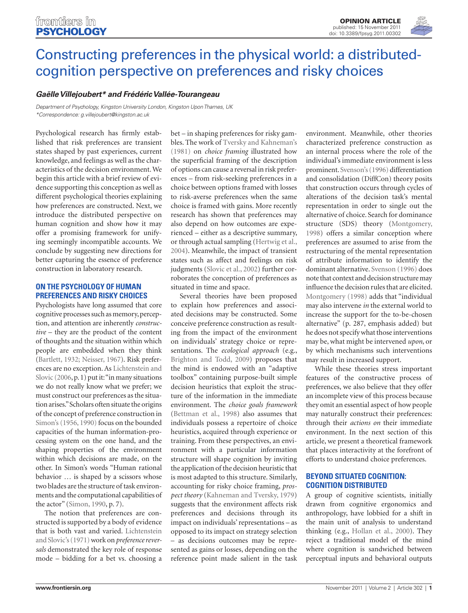[Opinion Article](http://www.frontiersin.org/Psychology/editorialboard) published: 15 November 2011 doi: 10.3389/fpsyg.2011.00302



# [Constructing preferences in the physical world: a distributed](http://www.frontiersin.org/cognition/10.3389/fpsyg.2011.00302/abstract)cognition perspective on preferences and risky choices

## *[Gaëlle Villejoubert](http://www.frontiersin.org/Community/WhosWhoDetails.aspx?UID=34068&sname=ga%EBllevillejoubert)\* and [Frédéric Vallée-Tourangeau](http://www.frontiersin.org/Community/WhosWhoDetails.aspx?UID=41781&sname=fredericvallee_tourangeau)*

*Department of Psychology, Kingston University London, Kingston Upon Thames, UK \*Correspondence: g.villejoubert@kingston.ac.uk*

Psychological research has firmly established that risk preferences are transient states shaped by past experiences, current knowledge, and feelings as well as the characteristics of the decision environment. We begin this article with a brief review of evidence supporting this conception as well as different psychological theories explaining how preferences are constructed. Next, we introduce the distributed perspective on human cognition and show how it may offer a promising framework for unifying seemingly incompatible accounts. We conclude by suggesting new directions for better capturing the essence of preference construction in laboratory research.

#### **On the Psychology of Human Preferences and Risky Choices**

Psychologists have long assumed that core cognitive processes such as memory, perception, and attention are inherently *constructive* – they are the product of the content of thoughts and the situation within which people are embedded when they think (Bartlett, 1932; Neisser, 1967). Risk preferences are no exception. As Lichtenstein and Slovic (2006, p. 1) put it: "in many situations we do not really know what we prefer; we must construct our preferences as the situation arises." Scholars often situate the origins of the concept of preference construction in Simon's (1956, 1990) focus on the bounded capacities of the human information-processing system on the one hand, and the shaping properties of the environment within which decisions are made, on the other. In Simon's words "Human rational behavior … is shaped by a scissors whose two blades are the structure of task environments and the computational capabilities of the actor" (Simon, 1990, p. 7).

The notion that preferences are constructed is supported by a body of evidence that is both vast and varied. Lichtenstein and Slovic's (1971) work on *preference reversals* demonstrated the key role of response mode – bidding for a bet vs. choosing a

bet – in shaping preferences for risky gambles. The work of Tversky and Kahneman's (1981) on *choice framing* illustrated how the superficial framing of the description of options can cause a reversal in risk preferences – from risk-seeking preferences in a choice between options framed with losses to risk-averse preferences when the same choice is framed with gains. More recently research has shown that preferences may also depend on how outcomes are experienced – either as a descriptive summary, or through actual sampling (Hertwig et al., 2004). Meanwhile, the impact of transient states such as affect and feelings on risk judgments (Slovic et al., 2002) further corroborates the conception of preferences as situated in time and space.

Several theories have been proposed to explain how preferences and associated decisions may be constructed. Some conceive preference construction as resulting from the impact of the environment on individuals' strategy choice or representations. The *ecological approach* (e.g., Brighton and Todd, 2009) proposes that the mind is endowed with an "adaptive toolbox" containing purpose-built simple decision heuristics that exploit the structure of the information in the immediate environment. The *choice goals framework* (Bettman et al., 1998) also assumes that individuals possess a repertoire of choice heuristics, acquired through experience or training. From these perspectives, an environment with a particular information structure will shape cognition by inviting the application of the decision heuristic that is most adapted to this structure. Similarly, accounting for risky choice framing, *prospect theory* (Kahneman and Tversky, 1979) suggests that the environment affects risk preferences and decisions through its impact on individuals' representations – as opposed to its impact on strategy selection – as decisions outcomes may be represented as gains or losses, depending on the reference point made salient in the task environment. Meanwhile, other theories characterized preference construction as an internal process where the role of the individual's immediate environment is less prominent. Svenson's (1996) differentiation and consolidation (DiffCon) theory posits that construction occurs through cycles of alterations of the decision task's mental representation in order to single out the alternative of choice. Search for dominance structure (SDS) theory (Montgomery, 1998) offers a similar conception where preferences are assumed to arise from the restructuring of the mental representation of attribute information to identify the dominant alternative. Svenson (1996) does note that context and decision structure may influence the decision rules that are elicited. Montgomery (1998) adds that "individual may also intervene *in* the external world to increase the support for the to-be-chosen alternative" (p. 287, emphasis added) but he does not specify what those interventions may be, what might be intervened *upon*, or by which mechanisms such interventions may result in increased support.

While these theories stress important features of the constructive process of preferences, we also believe that they offer an incomplete view of this process because they omit an essential aspect of how people may naturally construct their preferences: through their *actions on* their immediate environment. In the next section of this article, we present a theoretical framework that places interactivity at the forefront of efforts to understand choice preferences.

### **Beyond Situated Cognition: Cognition Distributed**

A group of cognitive scientists, initially drawn from cognitive ergonomics and anthropology, have lobbied for a shift in the main unit of analysis to understand thinking (e.g., Hollan et al., 2000). They reject a traditional model of the mind where cognition is sandwiched between perceptual inputs and behavioral outputs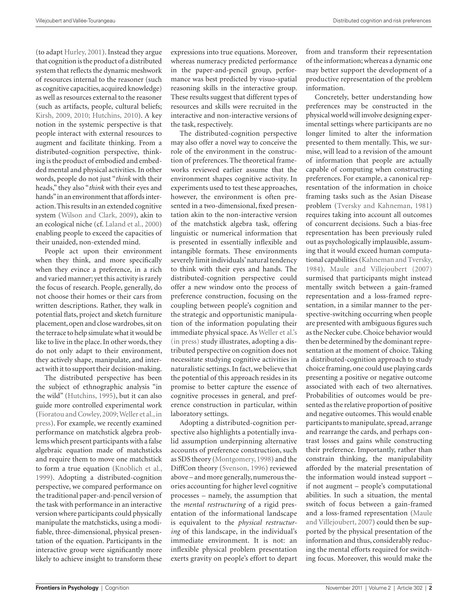(to adapt Hurley, 2001). Instead they argue that cognition is the product of a distributed system that reflects the dynamic meshwork of resources internal to the reasoner (such as cognitive capacities, acquired knowledge) as well as resources external to the reasoner (such as artifacts, people, cultural beliefs; Kirsh, 2009, 2010; Hutchins, 2010). A key notion in the systemic perspective is that people interact with external resources to augment and facilitate thinking. From a distributed-cognition perspective, thinking is the product of embodied and embedded mental and physical activities. In other words, people do not just "*think* with their heads," they also "*think* with their eyes and hands" in an environment that affords interaction. This results in an extended cognitive system (Wilson and Clark, 2009), akin to an ecological niche (cf. Laland et al., 2000) enabling people to exceed the capacities of their unaided, non-extended mind.

People act upon their environment when they think, and more specifically when they evince a preference, in a rich and varied manner; yet this activity is rarely the focus of research. People, generally, do not choose their homes or their cars from written descriptions. Rather, they walk in potential flats, project and sketch furniture placement, open and close wardrobes, sit on the terrace to help simulate what it would be like to live in the place. In other words, they do not only adapt to their environment, they actively shape, manipulate, and interact with it to support their decision-making.

The distributed perspective has been the subject of ethnographic analysis "in the wild" (Hutchins, 1995), but it can also guide more controlled experimental work (Fioratou and Cowley, 2009; Weller et al., in press). For example, we recently examined performance on matchstick algebra problems which present participants with a false algebraic equation made of matchsticks and require them to move one matchstick to form a true equation (Knoblich et al., 1999). Adopting a distributed-cognition perspective, we compared performance on the traditional paper-and-pencil version of the task with performance in an interactive version where participants could physically manipulate the matchsticks, using a modifiable, three-dimensional, physical presentation of the equation. Participants in the interactive group were significantly more likely to achieve insight to transform these

expressions into true equations. Moreover, whereas numeracy predicted performance in the paper-and-pencil group, performance was best predicted by visuo-spatial reasoning skills in the interactive group. These results suggest that different types of resources and skills were recruited in the interactive and non-interactive versions of the task, respectively.

The distributed-cognition perspective may also offer a novel way to conceive the role of the environment in the construction of preferences. The theoretical frameworks reviewed earlier assume that the environment shapes cognitive activity. In experiments used to test these approaches, however, the environment is often presented in a two-dimensional, fixed presentation akin to the non-interactive version of the matchstick algebra task, offering linguistic or numerical information that is presented in essentially inflexible and intangible formats. These environments severely limit individuals' natural tendency to think with their eyes and hands. The distributed-cognition perspective could offer a new window onto the process of preference construction, focusing on the coupling between people's cognition and the strategic and opportunistic manipulation of the information populating their immediate physical space. As Weller et al.'s (in press) study illustrates, adopting a distributed perspective on cognition does not necessitate studying cognitive activities in naturalistic settings. In fact, we believe that the potential of this approach resides in its promise to better capture the essence of cognitive processes in general, and preference construction in particular, within laboratory settings.

Adopting a distributed-cognition perspective also highlights a potentially invalid assumption underpinning alternative accounts of preference construction, such as SDS theory (Montgomery, 1998) and the DiffCon theory (Svenson, 1996) reviewed above – and more generally, numerous theories accounting for higher level cognitive processes – namely, the assumption that the *mental restructuring* of a rigid presentation of the informational landscape is equivalent to the *physical restructuring* of this landscape, in the individual's immediate environment. It is not: an inflexible physical problem presentation exerts gravity on people's effort to depart from and transform their representation of the information; whereas a dynamic one may better support the development of a productive representation of the problem information.

Concretely, better understanding how preferences may be constructed in the physical world will involve designing experimental settings where participants are no longer limited to alter the information presented to them mentally. This, we surmise, will lead to a revision of the amount of information that people are actually capable of computing when constructing preferences. For example, a canonical representation of the information in choice framing tasks such as the Asian Disease problem (Tversky and Kahneman, 1981) requires taking into account all outcomes of concurrent decisions. Such a bias-free representation has been previously ruled out as psychologically implausible, assuming that it would exceed human computational capabilities (Kahneman and Tversky, 1984). Maule and Villejoubert (2007) surmised that participants might instead mentally switch between a gain-framed representation and a loss-framed representation, in a similar manner to the perspective-switching occurring when people are presented with ambiguous figures such as the Necker cube. Choice behavior would then be determined by the dominant representation at the moment of choice. Taking a distributed-cognition approach to study choice framing, one could use playing cards presenting a positive or negative outcome associated with each of two alternatives. Probabilities of outcomes would be presented as the relative proportion of positive and negative outcomes. This would enable participants to manipulate, spread, arrange and rearrange the cards, and perhaps contrast losses and gains while constructing their preference. Importantly, rather than constrain thinking, the manipulability afforded by the material presentation of the information would instead support – if not augment – people's computational abilities. In such a situation, the mental switch of focus between a gain-framed and a loss-framed representation (Maule and Villejoubert, 2007) could then be supported by the physical presentation of the information and thus, considerably reducing the mental efforts required for switching focus. Moreover, this would make the